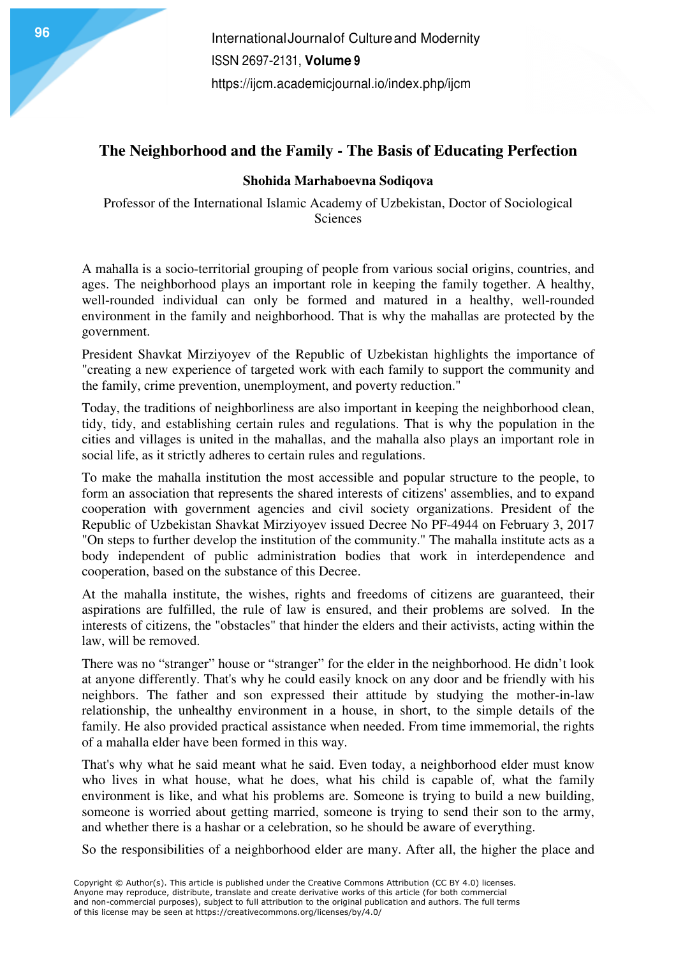### **The Neighborhood and the Family - The Basis of Educating Perfection**

### **Shohida Marhaboevna Sodiqova**

Professor of the International Islamic Academy of Uzbekistan, Doctor of Sociological Sciences

A mahalla is a socio-territorial grouping of people from various social origins, countries, and ages. The neighborhood plays an important role in keeping the family together. A healthy, well-rounded individual can only be formed and matured in a healthy, well-rounded environment in the family and neighborhood. That is why the mahallas are protected by the government.

President Shavkat Mirziyoyev of the Republic of Uzbekistan highlights the importance of "creating a new experience of targeted work with each family to support the community and the family, crime prevention, unemployment, and poverty reduction."

Today, the traditions of neighborliness are also important in keeping the neighborhood clean, tidy, tidy, and establishing certain rules and regulations. That is why the population in the cities and villages is united in the mahallas, and the mahalla also plays an important role in social life, as it strictly adheres to certain rules and regulations.

To make the mahalla institution the most accessible and popular structure to the people, to form an association that represents the shared interests of citizens' assemblies, and to expand cooperation with government agencies and civil society organizations. President of the Republic of Uzbekistan Shavkat Mirziyoyev issued Decree No PF-4944 on February 3, 2017 "On steps to further develop the institution of the community." The mahalla institute acts as a body independent of public administration bodies that work in interdependence and cooperation, based on the substance of this Decree.

At the mahalla institute, the wishes, rights and freedoms of citizens are guaranteed, their aspirations are fulfilled, the rule of law is ensured, and their problems are solved. In the interests of citizens, the "obstacles" that hinder the elders and their activists, acting within the law, will be removed.

There was no "stranger" house or "stranger" for the elder in the neighborhood. He didn't look at anyone differently. That's why he could easily knock on any door and be friendly with his neighbors. The father and son expressed their attitude by studying the mother-in-law relationship, the unhealthy environment in a house, in short, to the simple details of the family. He also provided practical assistance when needed. From time immemorial, the rights of a mahalla elder have been formed in this way.

That's why what he said meant what he said. Even today, a neighborhood elder must know who lives in what house, what he does, what his child is capable of, what the family environment is like, and what his problems are. Someone is trying to build a new building, someone is worried about getting married, someone is trying to send their son to the army, and whether there is a hashar or a celebration, so he should be aware of everything.

So the responsibilities of a neighborhood elder are many. After all, the higher the place and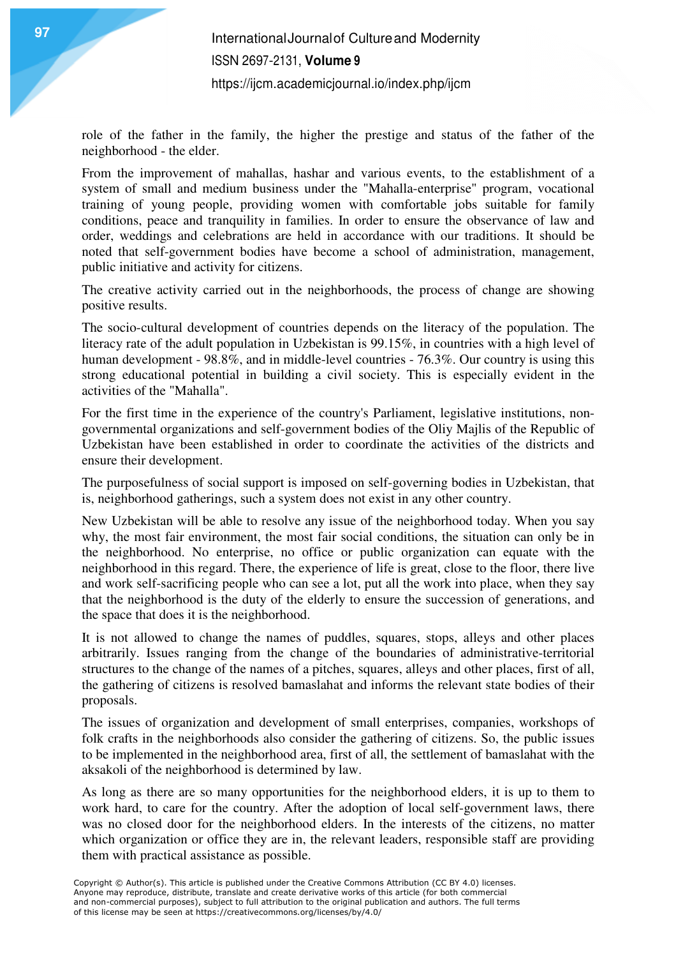role of the father in the family, the higher the prestige and status of the father of the neighborhood - the elder.

From the improvement of mahallas, hashar and various events, to the establishment of a system of small and medium business under the "Mahalla-enterprise" program, vocational training of young people, providing women with comfortable jobs suitable for family conditions, peace and tranquility in families. In order to ensure the observance of law and order, weddings and celebrations are held in accordance with our traditions. It should be noted that self-government bodies have become a school of administration, management, public initiative and activity for citizens.

The creative activity carried out in the neighborhoods, the process of change are showing positive results.

The socio-cultural development of countries depends on the literacy of the population. The literacy rate of the adult population in Uzbekistan is 99.15%, in countries with a high level of human development - 98.8%, and in middle-level countries - 76.3%. Our country is using this strong educational potential in building a civil society. This is especially evident in the activities of the "Mahalla".

For the first time in the experience of the country's Parliament, legislative institutions, nongovernmental organizations and self-government bodies of the Oliy Majlis of the Republic of Uzbekistan have been established in order to coordinate the activities of the districts and ensure their development.

The purposefulness of social support is imposed on self-governing bodies in Uzbekistan, that is, neighborhood gatherings, such a system does not exist in any other country.

New Uzbekistan will be able to resolve any issue of the neighborhood today. When you say why, the most fair environment, the most fair social conditions, the situation can only be in the neighborhood. No enterprise, no office or public organization can equate with the neighborhood in this regard. There, the experience of life is great, close to the floor, there live and work self-sacrificing people who can see a lot, put all the work into place, when they say that the neighborhood is the duty of the elderly to ensure the succession of generations, and the space that does it is the neighborhood.

It is not allowed to change the names of puddles, squares, stops, alleys and other places arbitrarily. Issues ranging from the change of the boundaries of administrative-territorial structures to the change of the names of a pitches, squares, alleys and other places, first of all, the gathering of citizens is resolved bamaslahat and informs the relevant state bodies of their proposals.

The issues of organization and development of small enterprises, companies, workshops of folk crafts in the neighborhoods also consider the gathering of citizens. So, the public issues to be implemented in the neighborhood area, first of all, the settlement of bamaslahat with the aksakoli of the neighborhood is determined by law.

As long as there are so many opportunities for the neighborhood elders, it is up to them to work hard, to care for the country. After the adoption of local self-government laws, there was no closed door for the neighborhood elders. In the interests of the citizens, no matter which organization or office they are in, the relevant leaders, responsible staff are providing them with practical assistance as possible.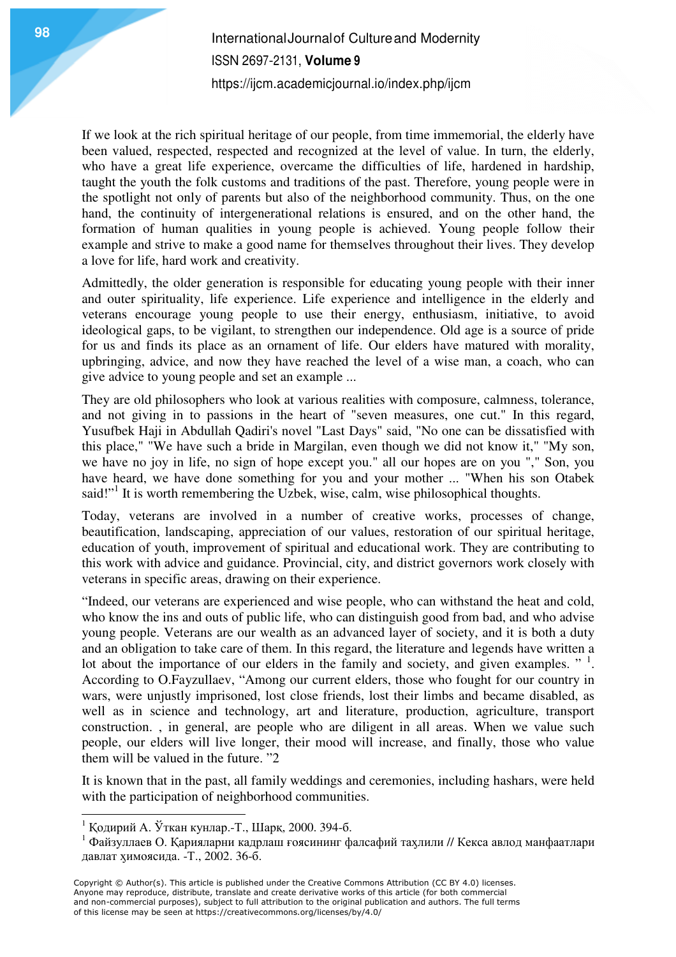# **International Journal of Culture and Modernity** ISSN 2697-2131, **Volume 9** https://ijcm.academicjournal.io/index.php/ijcm

If we look at the rich spiritual heritage of our people, from time immemorial, the elderly have been valued, respected, respected and recognized at the level of value. In turn, the elderly, who have a great life experience, overcame the difficulties of life, hardened in hardship, taught the youth the folk customs and traditions of the past. Therefore, young people were in the spotlight not only of parents but also of the neighborhood community. Thus, on the one hand, the continuity of intergenerational relations is ensured, and on the other hand, the formation of human qualities in young people is achieved. Young people follow their example and strive to make a good name for themselves throughout their lives. They develop a love for life, hard work and creativity.

Admittedly, the older generation is responsible for educating young people with their inner and outer spirituality, life experience. Life experience and intelligence in the elderly and veterans encourage young people to use their energy, enthusiasm, initiative, to avoid ideological gaps, to be vigilant, to strengthen our independence. Old age is a source of pride for us and finds its place as an ornament of life. Our elders have matured with morality, upbringing, advice, and now they have reached the level of a wise man, a coach, who can give advice to young people and set an example ...

They are old philosophers who look at various realities with composure, calmness, tolerance, and not giving in to passions in the heart of "seven measures, one cut." In this regard, Yusufbek Haji in Abdullah Qadiri's novel "Last Days" said, "No one can be dissatisfied with this place," "We have such a bride in Margilan, even though we did not know it," "My son, we have no joy in life, no sign of hope except you." all our hopes are on you "," Son, you have heard, we have done something for you and your mother ... "When his son Otabek said!"<sup>1</sup> It is worth remembering the Uzbek, wise, calm, wise philosophical thoughts.

Today, veterans are involved in a number of creative works, processes of change, beautification, landscaping, appreciation of our values, restoration of our spiritual heritage, education of youth, improvement of spiritual and educational work. They are contributing to this work with advice and guidance. Provincial, city, and district governors work closely with veterans in specific areas, drawing on their experience.

"Indeed, our veterans are experienced and wise people, who can withstand the heat and cold, who know the ins and outs of public life, who can distinguish good from bad, and who advise young people. Veterans are our wealth as an advanced layer of society, and it is both a duty and an obligation to take care of them. In this regard, the literature and legends have written a lot about the importance of our elders in the family and society, and given examples.  $"$ <sup>1</sup>. According to O.Fayzullaev, "Among our current elders, those who fought for our country in wars, were unjustly imprisoned, lost close friends, lost their limbs and became disabled, as well as in science and technology, art and literature, production, agriculture, transport construction. , in general, are people who are diligent in all areas. When we value such people, our elders will live longer, their mood will increase, and finally, those who value them will be valued in the future. "2

It is known that in the past, all family weddings and ceremonies, including hashars, were held with the participation of neighborhood communities.

 $\ddot{\phantom{a}}$ 

<sup>1</sup> Қодирий А. Ўткан кунлар.-Т., Шарқ, 2000. 394-б.

<sup>&</sup>lt;sup>1</sup> Файзуллаев О. Қарияларни кадрлаш ғоясининг фалсафий тахлили // Кекса авлод манфаатлари давлат ӽимоясида. -Т., 2002. 36-б.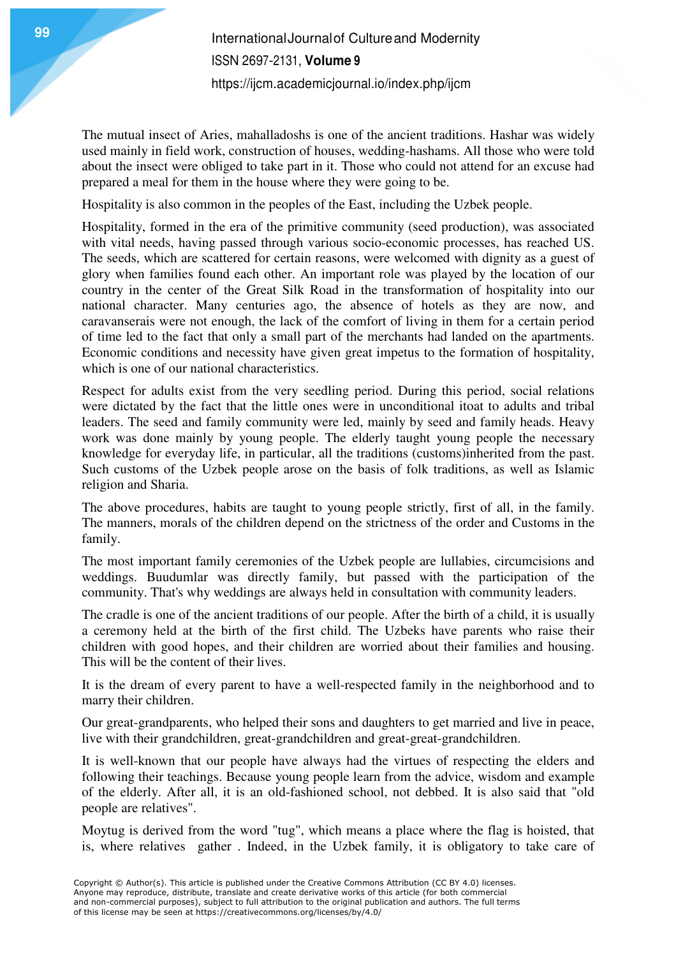The mutual insect of Aries, mahalladoshs is one of the ancient traditions. Hashar was widely used mainly in field work, construction of houses, wedding-hashams. All those who were told about the insect were obliged to take part in it. Those who could not attend for an excuse had prepared a meal for them in the house where they were going to be.

Hospitality is also common in the peoples of the East, including the Uzbek people.

Hospitality, formed in the era of the primitive community (seed production), was associated with vital needs, having passed through various socio-economic processes, has reached US. The seeds, which are scattered for certain reasons, were welcomed with dignity as a guest of glory when families found each other. An important role was played by the location of our country in the center of the Great Silk Road in the transformation of hospitality into our national character. Many centuries ago, the absence of hotels as they are now, and caravanserais were not enough, the lack of the comfort of living in them for a certain period of time led to the fact that only a small part of the merchants had landed on the apartments. Economic conditions and necessity have given great impetus to the formation of hospitality, which is one of our national characteristics.

Respect for adults exist from the very seedling period. During this period, social relations were dictated by the fact that the little ones were in unconditional itoat to adults and tribal leaders. The seed and family community were led, mainly by seed and family heads. Heavy work was done mainly by young people. The elderly taught young people the necessary knowledge for everyday life, in particular, all the traditions (customs)inherited from the past. Such customs of the Uzbek people arose on the basis of folk traditions, as well as Islamic religion and Sharia.

The above procedures, habits are taught to young people strictly, first of all, in the family. The manners, morals of the children depend on the strictness of the order and Customs in the family.

The most important family ceremonies of the Uzbek people are lullabies, circumcisions and weddings. Buudumlar was directly family, but passed with the participation of the community. That's why weddings are always held in consultation with community leaders.

The cradle is one of the ancient traditions of our people. After the birth of a child, it is usually a ceremony held at the birth of the first child. The Uzbeks have parents who raise their children with good hopes, and their children are worried about their families and housing. This will be the content of their lives.

It is the dream of every parent to have a well-respected family in the neighborhood and to marry their children.

Our great-grandparents, who helped their sons and daughters to get married and live in peace, live with their grandchildren, great-grandchildren and great-great-grandchildren.

It is well-known that our people have always had the virtues of respecting the elders and following their teachings. Because young people learn from the advice, wisdom and example of the elderly. After all, it is an old-fashioned school, not debbed. It is also said that "old people are relatives".

Moytug is derived from the word "tug", which means a place where the flag is hoisted, that is, where relatives gather . Indeed, in the Uzbek family, it is obligatory to take care of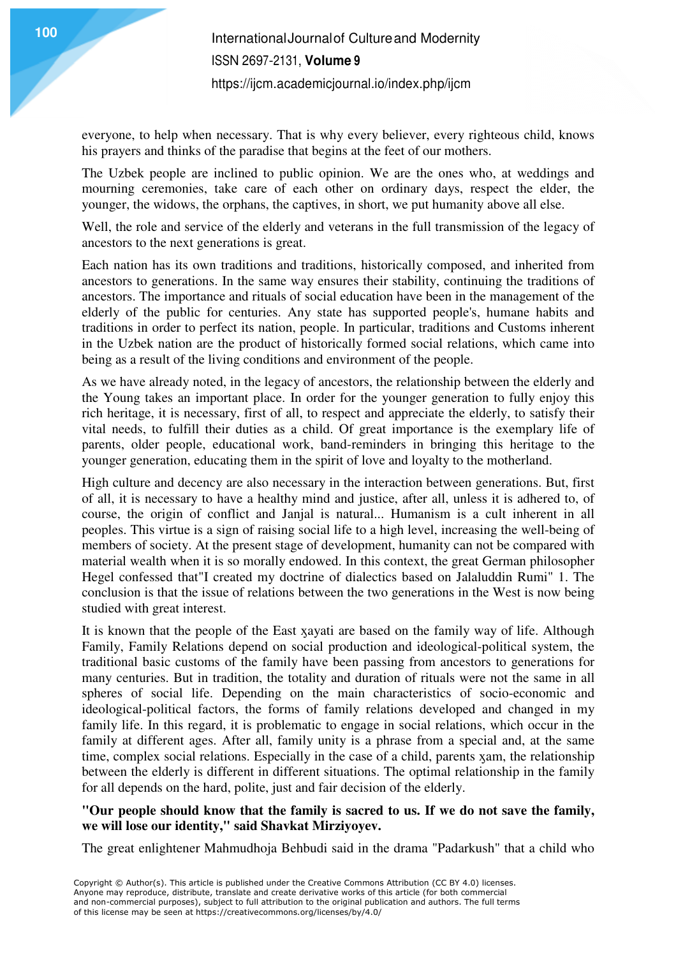everyone, to help when necessary. That is why every believer, every righteous child, knows his prayers and thinks of the paradise that begins at the feet of our mothers.

The Uzbek people are inclined to public opinion. We are the ones who, at weddings and mourning ceremonies, take care of each other on ordinary days, respect the elder, the younger, the widows, the orphans, the captives, in short, we put humanity above all else.

Well, the role and service of the elderly and veterans in the full transmission of the legacy of ancestors to the next generations is great.

Each nation has its own traditions and traditions, historically composed, and inherited from ancestors to generations. In the same way ensures their stability, continuing the traditions of ancestors. The importance and rituals of social education have been in the management of the elderly of the public for centuries. Any state has supported people's, humane habits and traditions in order to perfect its nation, people. In particular, traditions and Customs inherent in the Uzbek nation are the product of historically formed social relations, which came into being as a result of the living conditions and environment of the people.

As we have already noted, in the legacy of ancestors, the relationship between the elderly and the Young takes an important place. In order for the younger generation to fully enjoy this rich heritage, it is necessary, first of all, to respect and appreciate the elderly, to satisfy their vital needs, to fulfill their duties as a child. Of great importance is the exemplary life of parents, older people, educational work, band-reminders in bringing this heritage to the younger generation, educating them in the spirit of love and loyalty to the motherland.

High culture and decency are also necessary in the interaction between generations. But, first of all, it is necessary to have a healthy mind and justice, after all, unless it is adhered to, of course, the origin of conflict and Janjal is natural... Humanism is a cult inherent in all peoples. This virtue is a sign of raising social life to a high level, increasing the well-being of members of society. At the present stage of development, humanity can not be compared with material wealth when it is so morally endowed. In this context, the great German philosopher Hegel confessed that"I created my doctrine of dialectics based on Jalaluddin Rumi" 1. The conclusion is that the issue of relations between the two generations in the West is now being studied with great interest.

It is known that the people of the East xavati are based on the family way of life. Although Family, Family Relations depend on social production and ideological-political system, the traditional basic customs of the family have been passing from ancestors to generations for many centuries. But in tradition, the totality and duration of rituals were not the same in all spheres of social life. Depending on the main characteristics of socio-economic and ideological-political factors, the forms of family relations developed and changed in my family life. In this regard, it is problematic to engage in social relations, which occur in the family at different ages. After all, family unity is a phrase from a special and, at the same time, complex social relations. Especially in the case of a child, parents ӽam, the relationship between the elderly is different in different situations. The optimal relationship in the family for all depends on the hard, polite, just and fair decision of the elderly.

### **"Our people should know that the family is sacred to us. If we do not save the family, we will lose our identity," said Shavkat Mirziyoyev.**

The great enlightener Mahmudhoja Behbudi said in the drama "Padarkush" that a child who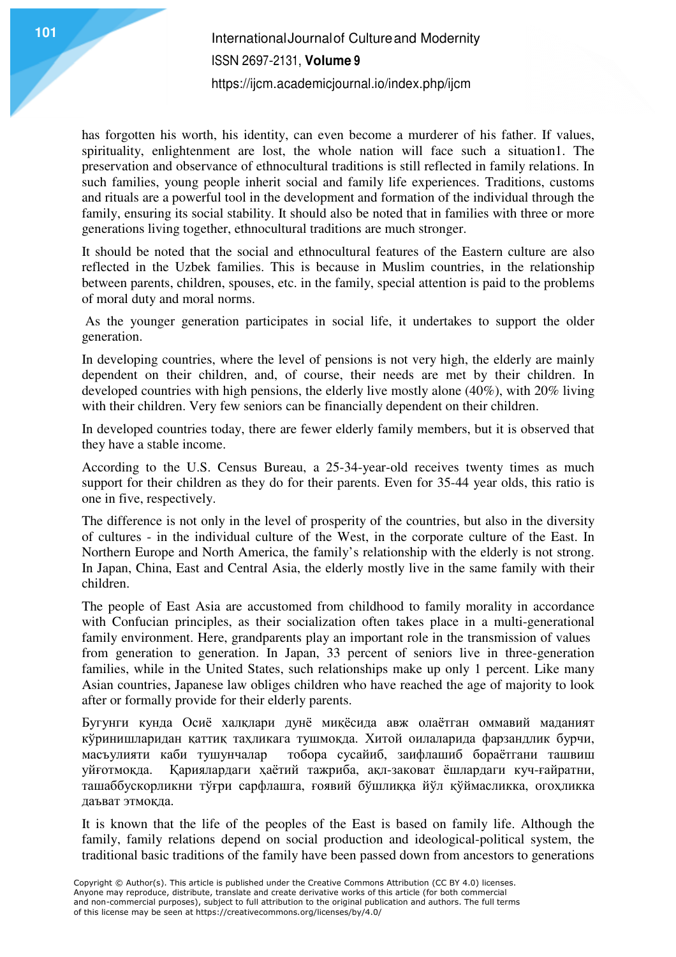## **101** International Journal of Culture and Modernity ISSN 2697-2131, **Volume 9** https://ijcm.academicjournal.io/index.php/ijcm

has forgotten his worth, his identity, can even become a murderer of his father. If values, spirituality, enlightenment are lost, the whole nation will face such a situation1. The preservation and observance of ethnocultural traditions is still reflected in family relations. In such families, young people inherit social and family life experiences. Traditions, customs and rituals are a powerful tool in the development and formation of the individual through the family, ensuring its social stability. It should also be noted that in families with three or more generations living together, ethnocultural traditions are much stronger.

It should be noted that the social and ethnocultural features of the Eastern culture are also reflected in the Uzbek families. This is because in Muslim countries, in the relationship between parents, children, spouses, etc. in the family, special attention is paid to the problems of moral duty and moral norms.

 As the younger generation participates in social life, it undertakes to support the older generation.

In developing countries, where the level of pensions is not very high, the elderly are mainly dependent on their children, and, of course, their needs are met by their children. In developed countries with high pensions, the elderly live mostly alone (40%), with 20% living with their children. Very few seniors can be financially dependent on their children.

In developed countries today, there are fewer elderly family members, but it is observed that they have a stable income.

According to the U.S. Census Bureau, a 25-34-year-old receives twenty times as much support for their children as they do for their parents. Even for 35-44 year olds, this ratio is one in five, respectively.

The difference is not only in the level of prosperity of the countries, but also in the diversity of cultures - in the individual culture of the West, in the corporate culture of the East. In Northern Europe and North America, the family's relationship with the elderly is not strong. In Japan, China, East and Central Asia, the elderly mostly live in the same family with their children.

The people of East Asia are accustomed from childhood to family morality in accordance with Confucian principles, as their socialization often takes place in a multi-generational family environment. Here, grandparents play an important role in the transmission of values from generation to generation. In Japan, 33 percent of seniors live in three-generation families, while in the United States, such relationships make up only 1 percent. Like many Asian countries, Japanese law obliges children who have reached the age of majority to look after or formally provide for their elderly parents.

Бугунги кунда Осиё халқлари дунё миқёсида авж олаётган оммавий маданият кўринишларидан қаттиқ таҳликага тушмоқда. Хитой оилаларида фарзандлик бурчи, масъулияти каби тушунчалар тобора сусайиб, заифлашиб бораётгани ташвиш уйғотмоқда. Қариялардаги ҳаётий тажриба, ақл-заковат ёшлардаги куч-ғайратни, ташаббускорликни тўғри сарфлашга, ғоявий бўшлиққа йўл қўймасликка, огоҳликка даъват этмоқда.

It is known that the life of the peoples of the East is based on family life. Although the family, family relations depend on social production and ideological-political system, the traditional basic traditions of the family have been passed down from ancestors to generations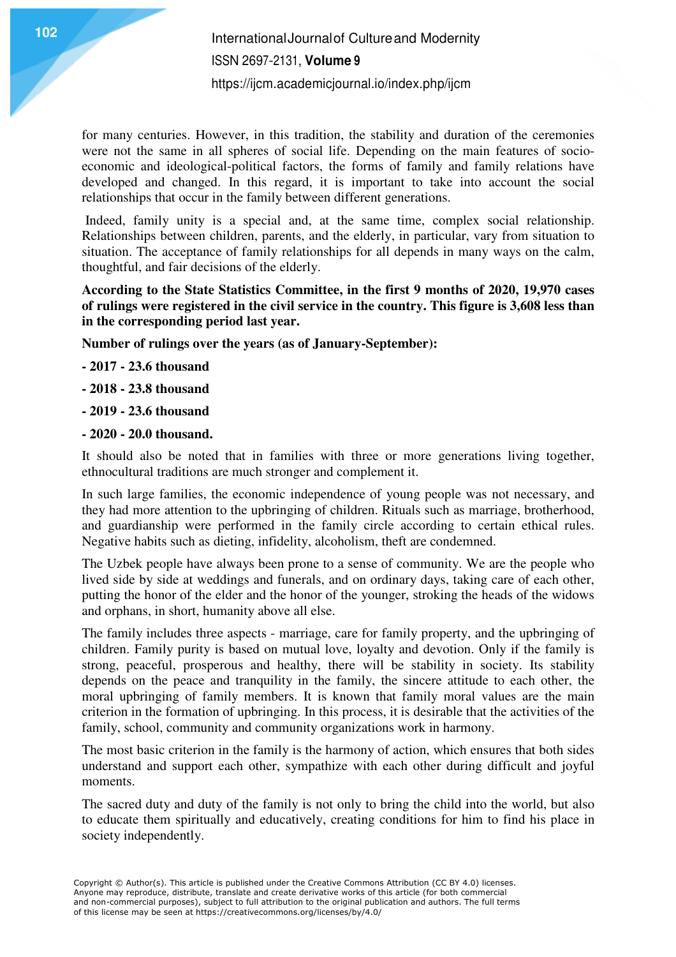for many centuries. However, in this tradition, the stability and duration of the ceremonies were not the same in all spheres of social life. Depending on the main features of socioeconomic and ideological-political factors, the forms of family and family relations have developed and changed. In this regard, it is important to take into account the social relationships that occur in the family between different generations.

 Indeed, family unity is a special and, at the same time, complex social relationship. Relationships between children, parents, and the elderly, in particular, vary from situation to situation. The acceptance of family relationships for all depends in many ways on the calm, thoughtful, and fair decisions of the elderly.

**According to the State Statistics Committee, in the first 9 months of 2020, 19,970 cases of rulings were registered in the civil service in the country. This figure is 3,608 less than in the corresponding period last year.** 

**Number of rulings over the years (as of January-September):** 

- **2017 23.6 thousand**
- **2018 23.8 thousand**
- **2019 23.6 thousand**
- **2020 20.0 thousand.**

It should also be noted that in families with three or more generations living together, ethnocultural traditions are much stronger and complement it.

In such large families, the economic independence of young people was not necessary, and they had more attention to the upbringing of children. Rituals such as marriage, brotherhood, and guardianship were performed in the family circle according to certain ethical rules. Negative habits such as dieting, infidelity, alcoholism, theft are condemned.

The Uzbek people have always been prone to a sense of community. We are the people who lived side by side at weddings and funerals, and on ordinary days, taking care of each other, putting the honor of the elder and the honor of the younger, stroking the heads of the widows and orphans, in short, humanity above all else.

The family includes three aspects - marriage, care for family property, and the upbringing of children. Family purity is based on mutual love, loyalty and devotion. Only if the family is strong, peaceful, prosperous and healthy, there will be stability in society. Its stability depends on the peace and tranquility in the family, the sincere attitude to each other, the moral upbringing of family members. It is known that family moral values are the main criterion in the formation of upbringing. In this process, it is desirable that the activities of the family, school, community and community organizations work in harmony.

The most basic criterion in the family is the harmony of action, which ensures that both sides understand and support each other, sympathize with each other during difficult and joyful moments.

The sacred duty and duty of the family is not only to bring the child into the world, but also to educate them spiritually and educatively, creating conditions for him to find his place in society independently.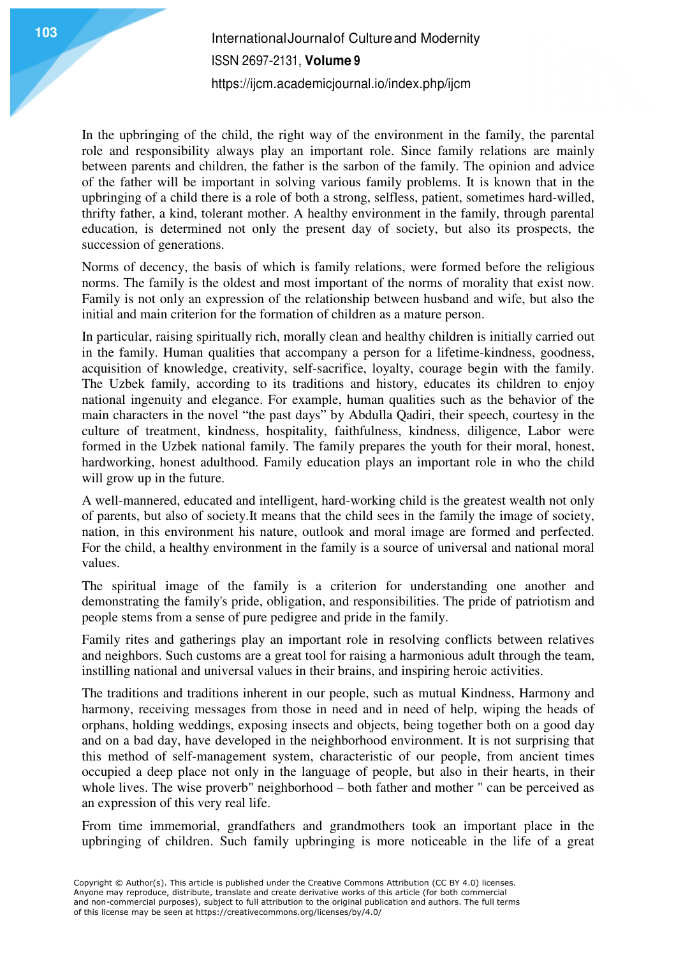In the upbringing of the child, the right way of the environment in the family, the parental role and responsibility always play an important role. Since family relations are mainly between parents and children, the father is the sarbon of the family. The opinion and advice of the father will be important in solving various family problems. It is known that in the upbringing of a child there is a role of both a strong, selfless, patient, sometimes hard-willed, thrifty father, a kind, tolerant mother. A healthy environment in the family, through parental education, is determined not only the present day of society, but also its prospects, the succession of generations.

Norms of decency, the basis of which is family relations, were formed before the religious norms. The family is the oldest and most important of the norms of morality that exist now. Family is not only an expression of the relationship between husband and wife, but also the initial and main criterion for the formation of children as a mature person.

In particular, raising spiritually rich, morally clean and healthy children is initially carried out in the family. Human qualities that accompany a person for a lifetime-kindness, goodness, acquisition of knowledge, creativity, self-sacrifice, loyalty, courage begin with the family. The Uzbek family, according to its traditions and history, educates its children to enjoy national ingenuity and elegance. For example, human qualities such as the behavior of the main characters in the novel "the past days" by Abdulla Qadiri, their speech, courtesy in the culture of treatment, kindness, hospitality, faithfulness, kindness, diligence, Labor were formed in the Uzbek national family. The family prepares the youth for their moral, honest, hardworking, honest adulthood. Family education plays an important role in who the child will grow up in the future.

A well-mannered, educated and intelligent, hard-working child is the greatest wealth not only of parents, but also of society.It means that the child sees in the family the image of society, nation, in this environment his nature, outlook and moral image are formed and perfected. For the child, a healthy environment in the family is a source of universal and national moral values.

The spiritual image of the family is a criterion for understanding one another and demonstrating the family's pride, obligation, and responsibilities. The pride of patriotism and people stems from a sense of pure pedigree and pride in the family.

Family rites and gatherings play an important role in resolving conflicts between relatives and neighbors. Such customs are a great tool for raising a harmonious adult through the team, instilling national and universal values in their brains, and inspiring heroic activities.

The traditions and traditions inherent in our people, such as mutual Kindness, Harmony and harmony, receiving messages from those in need and in need of help, wiping the heads of orphans, holding weddings, exposing insects and objects, being together both on a good day and on a bad day, have developed in the neighborhood environment. It is not surprising that this method of self-management system, characteristic of our people, from ancient times occupied a deep place not only in the language of people, but also in their hearts, in their whole lives. The wise proverb" neighborhood – both father and mother " can be perceived as an expression of this very real life.

From time immemorial, grandfathers and grandmothers took an important place in the upbringing of children. Such family upbringing is more noticeable in the life of a great